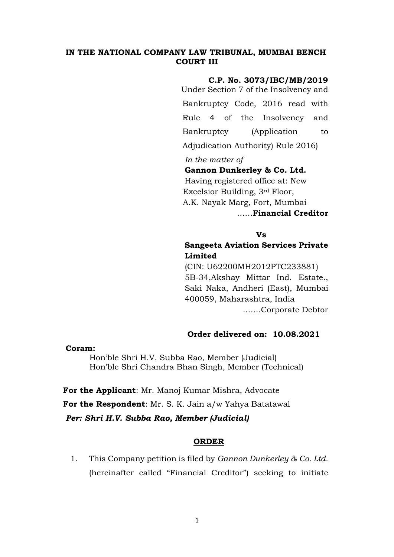## **IN THE NATIONAL COMPANY LAW TRIBUNAL, MUMBAI BENCH COURT III**

#### **C.P. No. 3073/IBC/MB/2019**

 Under Section 7 of the Insolvency and Bankruptcy Code, 2016 read with Rule 4 of the Insolvency and Bankruptcy (Application to Adjudication Authority) Rule 2016)

*In the matter of*

## **Gannon Dunkerley & Co. Ltd.**

Having registered office at: New Excelsior Building, 3rd Floor, A.K. Nayak Marg, Fort, Mumbai ……**Financial Creditor**

#### **Vs**

## **Sangeeta Aviation Services Private Limited**

(CIN: U62200MH2012PTC233881) 5B-34,Akshay Mittar Ind. Estate., Saki Naka, Andheri (East), Mumbai 400059, Maharashtra, India ..…..Corporate Debtor

### **Order delivered on: 10.08.2021**

#### **Coram:**

Hon'ble Shri H.V. Subba Rao, Member (Judicial) Hon'ble Shri Chandra Bhan Singh, Member (Technical)

**For the Applicant**: Mr. Manoj Kumar Mishra, Advocate **For the Respondent**: Mr. S. K. Jain a/w Yahya Batatawal *Per: Shri H.V. Subba Rao, Member (Judicial)* 

#### **ORDER**

1. This Company petition is filed by *Gannon Dunkerley & Co. Ltd.* (hereinafter called "Financial Creditor") seeking to initiate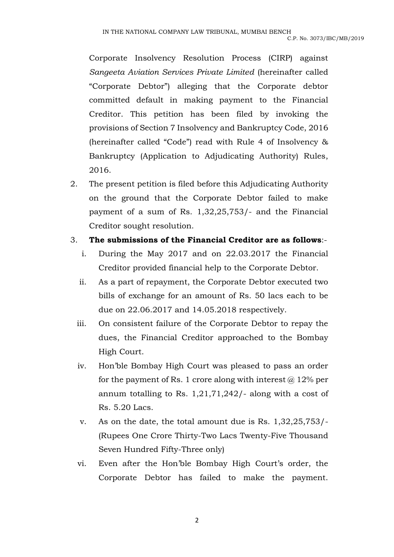Corporate Insolvency Resolution Process (CIRP) against *Sangeeta Aviation Services Private Limited* (hereinafter called "Corporate Debtor") alleging that the Corporate debtor committed default in making payment to the Financial Creditor. This petition has been filed by invoking the provisions of Section 7 Insolvency and Bankruptcy Code, 2016 (hereinafter called "Code") read with Rule 4 of Insolvency & Bankruptcy (Application to Adjudicating Authority) Rules, 2016.

2. The present petition is filed before this Adjudicating Authority on the ground that the Corporate Debtor failed to make payment of a sum of Rs. 1,32,25,753/- and the Financial Creditor sought resolution.

# 3. **The submissions of the Financial Creditor are as follows**:-

- i. During the May 2017 and on 22.03.2017 the Financial Creditor provided financial help to the Corporate Debtor.
- ii. As a part of repayment, the Corporate Debtor executed two bills of exchange for an amount of Rs. 50 lacs each to be due on 22.06.2017 and 14.05.2018 respectively.
- iii. On consistent failure of the Corporate Debtor to repay the dues, the Financial Creditor approached to the Bombay High Court.
- iv. Hon'ble Bombay High Court was pleased to pass an order for the payment of Rs. 1 crore along with interest  $\omega$  12% per annum totalling to Rs. 1,21,71,242/- along with a cost of Rs. 5.20 Lacs.
- v. As on the date, the total amount due is Rs. 1,32,25,753/- (Rupees One Crore Thirty-Two Lacs Twenty-Five Thousand Seven Hundred Fifty-Three only)
- vi. Even after the Hon'ble Bombay High Court's order, the Corporate Debtor has failed to make the payment.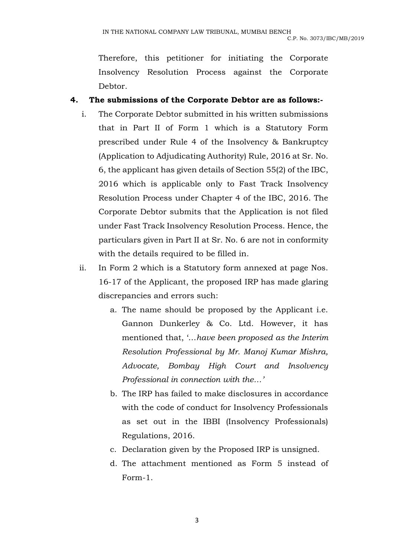Therefore, this petitioner for initiating the Corporate Insolvency Resolution Process against the Corporate Debtor.

### **4. The submissions of the Corporate Debtor are as follows:-**

- i. The Corporate Debtor submitted in his written submissions that in Part II of Form 1 which is a Statutory Form prescribed under Rule 4 of the Insolvency & Bankruptcy (Application to Adjudicating Authority) Rule, 2016 at Sr. No. 6, the applicant has given details of Section 55(2) of the IBC, 2016 which is applicable only to Fast Track Insolvency Resolution Process under Chapter 4 of the IBC, 2016. The Corporate Debtor submits that the Application is not filed under Fast Track Insolvency Resolution Process. Hence, the particulars given in Part II at Sr. No. 6 are not in conformity with the details required to be filled in.
- ii. In Form 2 which is a Statutory form annexed at page Nos. 16-17 of the Applicant, the proposed IRP has made glaring discrepancies and errors such:
	- a. The name should be proposed by the Applicant i.e. Gannon Dunkerley & Co. Ltd. However, it has mentioned that, '…*have been proposed as the Interim Resolution Professional by Mr. Manoj Kumar Mishra, Advocate, Bombay High Court and Insolvency Professional in connection with the…'*
	- b. The IRP has failed to make disclosures in accordance with the code of conduct for Insolvency Professionals as set out in the IBBI (Insolvency Professionals) Regulations, 2016.
	- c. Declaration given by the Proposed IRP is unsigned.
	- d. The attachment mentioned as Form 5 instead of Form-1.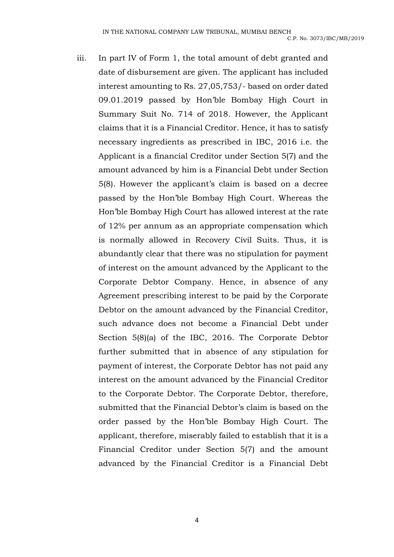iii. In part IV of Form 1, the total amount of debt granted and date of disbursement are given. The applicant has included interest amounting to Rs. 27,05,753/- based on order dated 09.01.2019 passed by Hon'ble Bombay High Court in Summary Suit No. 714 of 2018. However, the Applicant claims that it is a Financial Creditor. Hence, it has to satisfy necessary ingredients as prescribed in IBC, 2016 i.e. the Applicant is a financial Creditor under Section 5(7) and the amount advanced by him is a Financial Debt under Section 5(8). However the applicant's claim is based on a decree passed by the Hon'ble Bombay High Court. Whereas the Hon'ble Bombay High Court has allowed interest at the rate of 12% per annum as an appropriate compensation which is normally allowed in Recovery Civil Suits. Thus, it is abundantly clear that there was no stipulation for payment of interest on the amount advanced by the Applicant to the Corporate Debtor Company. Hence, in absence of any Agreement prescribing interest to be paid by the Corporate Debtor on the amount advanced by the Financial Creditor, such advance does not become a Financial Debt under Section 5(8)(a) of the IBC, 2016. The Corporate Debtor further submitted that in absence of any stipulation for payment of interest, the Corporate Debtor has not paid any interest on the amount advanced by the Financial Creditor to the Corporate Debtor. The Corporate Debtor, therefore, submitted that the Financial Debtor's claim is based on the order passed by the Hon'ble Bombay High Court. The applicant, therefore, miserably failed to establish that it is a Financial Creditor under Section 5(7) and the amount advanced by the Financial Creditor is a Financial Debt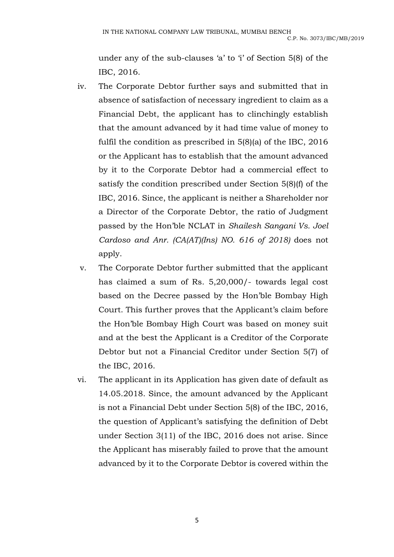under any of the sub-clauses 'a' to 'i' of Section 5(8) of the IBC, 2016.

- iv. The Corporate Debtor further says and submitted that in absence of satisfaction of necessary ingredient to claim as a Financial Debt, the applicant has to clinchingly establish that the amount advanced by it had time value of money to fulfil the condition as prescribed in 5(8)(a) of the IBC, 2016 or the Applicant has to establish that the amount advanced by it to the Corporate Debtor had a commercial effect to satisfy the condition prescribed under Section 5(8)(f) of the IBC, 2016. Since, the applicant is neither a Shareholder nor a Director of the Corporate Debtor, the ratio of Judgment passed by the Hon'ble NCLAT in *Shailesh Sangani Vs. Joel Cardoso and Anr. (CA(AT)(Ins) NO. 616 of 2018)* does not apply.
- v. The Corporate Debtor further submitted that the applicant has claimed a sum of Rs. 5,20,000/- towards legal cost based on the Decree passed by the Hon'ble Bombay High Court. This further proves that the Applicant's claim before the Hon'ble Bombay High Court was based on money suit and at the best the Applicant is a Creditor of the Corporate Debtor but not a Financial Creditor under Section 5(7) of the IBC, 2016.
- vi. The applicant in its Application has given date of default as 14.05.2018. Since, the amount advanced by the Applicant is not a Financial Debt under Section 5(8) of the IBC, 2016, the question of Applicant's satisfying the definition of Debt under Section 3(11) of the IBC, 2016 does not arise. Since the Applicant has miserably failed to prove that the amount advanced by it to the Corporate Debtor is covered within the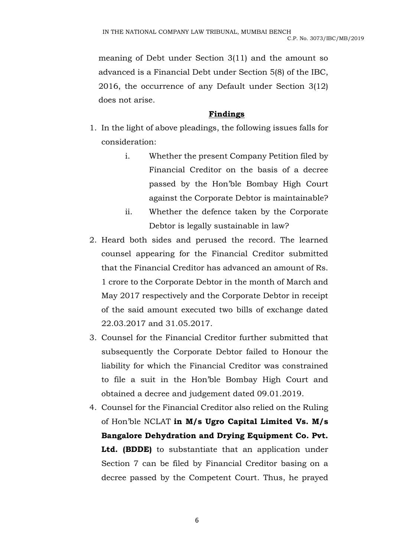meaning of Debt under Section 3(11) and the amount so advanced is a Financial Debt under Section 5(8) of the IBC, 2016, the occurrence of any Default under Section 3(12) does not arise.

# **Findings**

- 1. In the light of above pleadings, the following issues falls for consideration:
	- i. Whether the present Company Petition filed by Financial Creditor on the basis of a decree passed by the Hon'ble Bombay High Court against the Corporate Debtor is maintainable?
	- ii. Whether the defence taken by the Corporate Debtor is legally sustainable in law?
- 2. Heard both sides and perused the record. The learned counsel appearing for the Financial Creditor submitted that the Financial Creditor has advanced an amount of Rs. 1 crore to the Corporate Debtor in the month of March and May 2017 respectively and the Corporate Debtor in receipt of the said amount executed two bills of exchange dated 22.03.2017 and 31.05.2017.
- 3. Counsel for the Financial Creditor further submitted that subsequently the Corporate Debtor failed to Honour the liability for which the Financial Creditor was constrained to file a suit in the Hon'ble Bombay High Court and obtained a decree and judgement dated 09.01.2019.
- 4. Counsel for the Financial Creditor also relied on the Ruling of Hon'ble NCLAT **in M/s Ugro Capital Limited Vs. M/s Bangalore Dehydration and Drying Equipment Co. Pvt. Ltd. (BDDE)** to substantiate that an application under Section 7 can be filed by Financial Creditor basing on a decree passed by the Competent Court. Thus, he prayed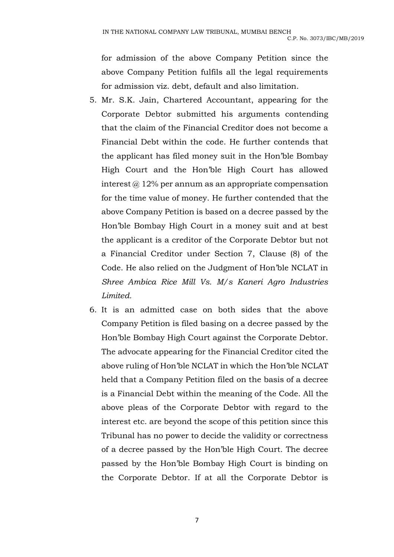for admission of the above Company Petition since the above Company Petition fulfils all the legal requirements for admission viz. debt, default and also limitation.

- 5. Mr. S.K. Jain, Chartered Accountant, appearing for the Corporate Debtor submitted his arguments contending that the claim of the Financial Creditor does not become a Financial Debt within the code. He further contends that the applicant has filed money suit in the Hon'ble Bombay High Court and the Hon'ble High Court has allowed interest  $@12\%$  per annum as an appropriate compensation for the time value of money. He further contended that the above Company Petition is based on a decree passed by the Hon'ble Bombay High Court in a money suit and at best the applicant is a creditor of the Corporate Debtor but not a Financial Creditor under Section 7, Clause (8) of the Code. He also relied on the Judgment of Hon'ble NCLAT in *Shree Ambica Rice Mill Vs. M/s Kaneri Agro Industries Limited.*
- 6. It is an admitted case on both sides that the above Company Petition is filed basing on a decree passed by the Hon'ble Bombay High Court against the Corporate Debtor. The advocate appearing for the Financial Creditor cited the above ruling of Hon'ble NCLAT in which the Hon'ble NCLAT held that a Company Petition filed on the basis of a decree is a Financial Debt within the meaning of the Code. All the above pleas of the Corporate Debtor with regard to the interest etc. are beyond the scope of this petition since this Tribunal has no power to decide the validity or correctness of a decree passed by the Hon'ble High Court. The decree passed by the Hon'ble Bombay High Court is binding on the Corporate Debtor. If at all the Corporate Debtor is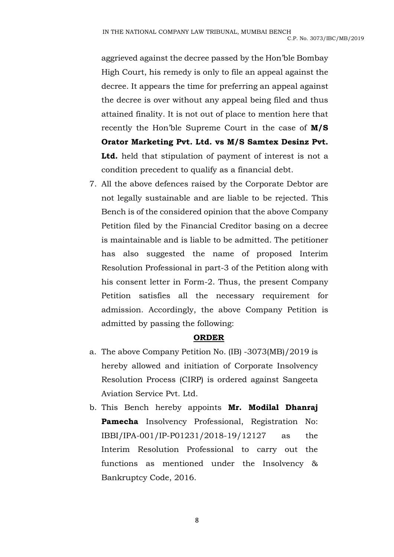aggrieved against the decree passed by the Hon'ble Bombay High Court, his remedy is only to file an appeal against the decree. It appears the time for preferring an appeal against the decree is over without any appeal being filed and thus attained finality. It is not out of place to mention here that recently the Hon'ble Supreme Court in the case of **M/S Orator Marketing Pvt. Ltd. vs M/S Samtex Desinz Pvt. Ltd.** held that stipulation of payment of interest is not a condition precedent to qualify as a financial debt.

7. All the above defences raised by the Corporate Debtor are not legally sustainable and are liable to be rejected. This Bench is of the considered opinion that the above Company Petition filed by the Financial Creditor basing on a decree is maintainable and is liable to be admitted. The petitioner has also suggested the name of proposed Interim Resolution Professional in part-3 of the Petition along with his consent letter in Form-2. Thus, the present Company Petition satisfies all the necessary requirement for admission. Accordingly, the above Company Petition is admitted by passing the following:

## **ORDER**

- a. The above Company Petition No. (IB) -3073(MB)/2019 is hereby allowed and initiation of Corporate Insolvency Resolution Process (CIRP) is ordered against Sangeeta Aviation Service Pvt. Ltd.
- b. This Bench hereby appoints **Mr. Modilal Dhanraj Pamecha** Insolvency Professional, Registration No: IBBI/IPA-001/IP-P01231/2018-19/12127 as the Interim Resolution Professional to carry out the functions as mentioned under the Insolvency & Bankruptcy Code, 2016.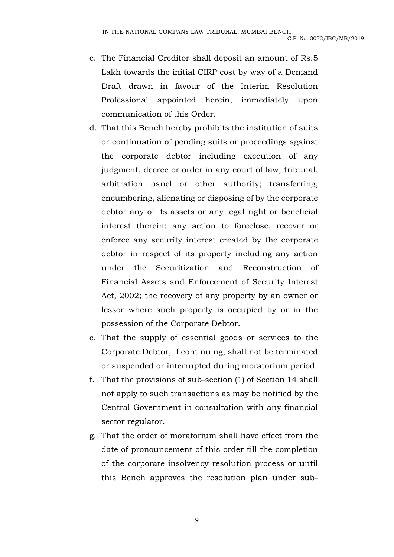- c. The Financial Creditor shall deposit an amount of Rs.5 Lakh towards the initial CIRP cost by way of a Demand Draft drawn in favour of the Interim Resolution Professional appointed herein, immediately upon communication of this Order.
- d. That this Bench hereby prohibits the institution of suits or continuation of pending suits or proceedings against the corporate debtor including execution of any judgment, decree or order in any court of law, tribunal, arbitration panel or other authority; transferring, encumbering, alienating or disposing of by the corporate debtor any of its assets or any legal right or beneficial interest therein; any action to foreclose, recover or enforce any security interest created by the corporate debtor in respect of its property including any action under the Securitization and Reconstruction of Financial Assets and Enforcement of Security Interest Act, 2002; the recovery of any property by an owner or lessor where such property is occupied by or in the possession of the Corporate Debtor.
- e. That the supply of essential goods or services to the Corporate Debtor, if continuing, shall not be terminated or suspended or interrupted during moratorium period.
- f. That the provisions of sub-section (1) of Section 14 shall not apply to such transactions as may be notified by the Central Government in consultation with any financial sector regulator.
- g. That the order of moratorium shall have effect from the date of pronouncement of this order till the completion of the corporate insolvency resolution process or until this Bench approves the resolution plan under sub-